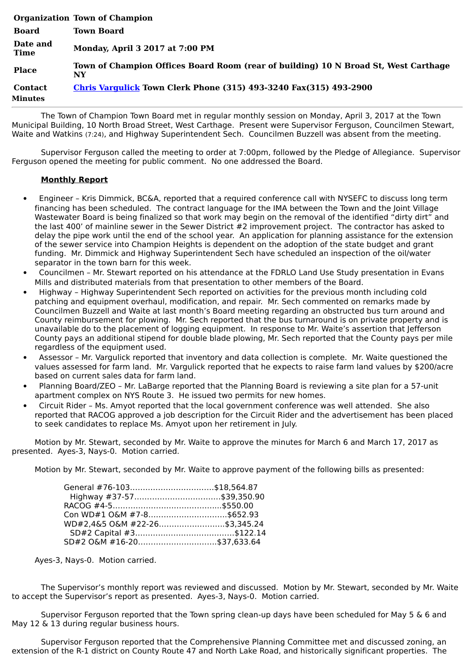|                           | <b>Organization Town of Champion</b>                                                      |
|---------------------------|-------------------------------------------------------------------------------------------|
| <b>Board</b>              | <b>Town Board</b>                                                                         |
| Date and<br><b>Time</b>   | Monday, April 3 2017 at 7:00 PM                                                           |
| <b>Place</b>              | Town of Champion Offices Board Room (rear of building) 10 N Broad St, West Carthage<br>NY |
| <b>Contact</b><br>Minutes | <b>Chris Vargulick Town Clerk Phone (315) 493-3240 Fax(315) 493-2900</b>                  |

The Town of Champion Town Board met in regular monthly session on Monday, April 3, 2017 at the Town Municipal Building, 10 North Broad Street, West Carthage. Present were Supervisor Ferguson, Councilmen Stewart, Waite and Watkins (7:24), and Highway Superintendent Sech. Councilmen Buzzell was absent from the meeting.

Supervisor Ferguson called the meeting to order at 7:00pm, followed by the Pledge of Allegiance. Supervisor Ferguson opened the meeting for public comment. No one addressed the Board.

## **Monthly Report**

- · Engineer Kris Dimmick, BC&A, reported that a required conference call with NYSEFC to discuss long term financing has been scheduled. The contract language for the IMA between the Town and the Joint Village Wastewater Board is being finalized so that work may begin on the removal of the identified "dirty dirt" and the last 400' of mainline sewer in the Sewer District #2 improvement project. The contractor has asked to delay the pipe work until the end of the school year. An application for planning assistance for the extension of the sewer service into Champion Heights is dependent on the adoption of the state budget and grant funding. Mr. Dimmick and Highway Superintendent Sech have scheduled an inspection of the oil/water separator in the town barn for this week.
- · Councilmen Mr. Stewart reported on his attendance at the FDRLO Land Use Study presentation in Evans Mills and distributed materials from that presentation to other members of the Board.
- · Highway Highway Superintendent Sech reported on activities for the previous month including cold patching and equipment overhaul, modification, and repair. Mr. Sech commented on remarks made by Councilmen Buzzell and Waite at last month's Board meeting regarding an obstructed bus turn around and County reimbursement for plowing. Mr. Sech reported that the bus turnaround is on private property and is unavailable do to the placement of logging equipment. In response to Mr. Waite's assertion that Jefferson County pays an additional stipend for double blade plowing, Mr. Sech reported that the County pays per mile regardless of the equipment used.
- Assessor Mr. Vargulick reported that inventory and data collection is complete. Mr. Waite questioned the values assessed for farm land. Mr. Vargulick reported that he expects to raise farm land values by \$200/acre based on current sales data for farm land.
- Planning Board/ZEO Mr. LaBarge reported that the Planning Board is reviewing a site plan for a 57-unit apartment complex on NYS Route 3. He issued two permits for new homes.
- · Circuit Rider Ms. Amyot reported that the local government conference was well attended. She also reported that RACOG approved a job description for the Circuit Rider and the advertisement has been placed to seek candidates to replace Ms. Amyot upon her retirement in July.

Motion by Mr. Stewart, seconded by Mr. Waite to approve the minutes for March 6 and March 17, 2017 as presented. Ayes-3, Nays-0. Motion carried.

Motion by Mr. Stewart, seconded by Mr. Waite to approve payment of the following bills as presented:

| General #76-103\$18,564.87    |  |
|-------------------------------|--|
|                               |  |
|                               |  |
|                               |  |
| WD#2.4&5 O&M #22-26\$3.345.24 |  |
|                               |  |
| SD#2 O&M #16-20\$37,633.64    |  |

Ayes-3, Nays-0. Motion carried.

The Supervisor's monthly report was reviewed and discussed. Motion by Mr. Stewart, seconded by Mr. Waite to accept the Supervisor's report as presented. Ayes-3, Nays-0. Motion carried.

Supervisor Ferguson reported that the Town spring clean-up days have been scheduled for May 5 & 6 and May 12 & 13 during regular business hours.

Supervisor Ferguson reported that the Comprehensive Planning Committee met and discussed zoning, an extension of the R-1 district on County Route 47 and North Lake Road, and historically significant properties. The